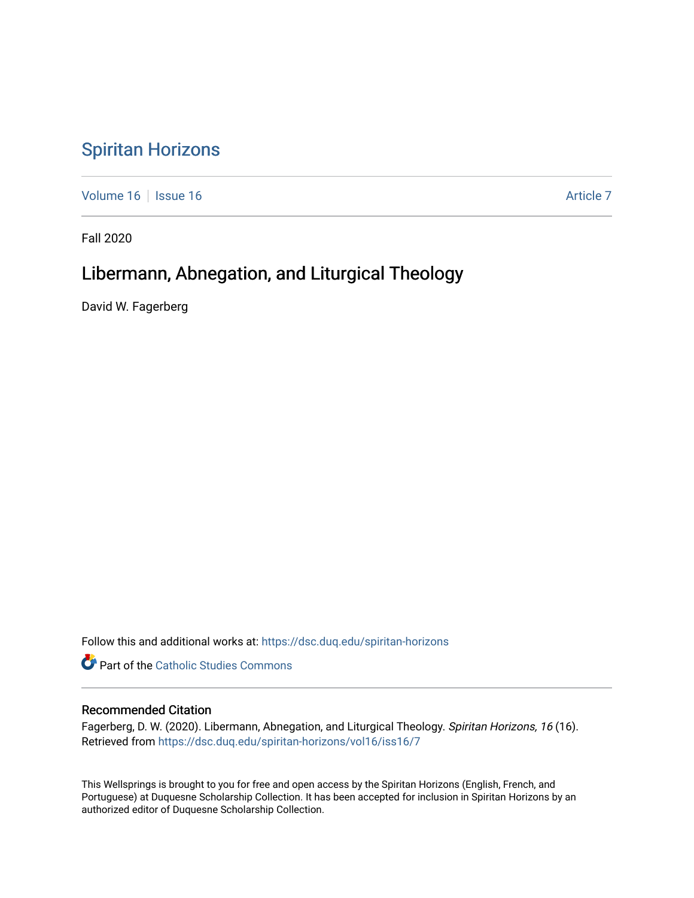# [Spiritan Horizons](https://dsc.duq.edu/spiritan-horizons)

[Volume 16](https://dsc.duq.edu/spiritan-horizons/vol16) | [Issue 16](https://dsc.duq.edu/spiritan-horizons/vol16/iss16) Article 7

Fall 2020

# Libermann, Abnegation, and Liturgical Theology

David W. Fagerberg

Follow this and additional works at: [https://dsc.duq.edu/spiritan-horizons](https://dsc.duq.edu/spiritan-horizons?utm_source=dsc.duq.edu%2Fspiritan-horizons%2Fvol16%2Fiss16%2F7&utm_medium=PDF&utm_campaign=PDFCoverPages)

**Part of the [Catholic Studies Commons](http://network.bepress.com/hgg/discipline/1294?utm_source=dsc.duq.edu%2Fspiritan-horizons%2Fvol16%2Fiss16%2F7&utm_medium=PDF&utm_campaign=PDFCoverPages)** 

# Recommended Citation

Fagerberg, D. W. (2020). Libermann, Abnegation, and Liturgical Theology. Spiritan Horizons, 16 (16). Retrieved from [https://dsc.duq.edu/spiritan-horizons/vol16/iss16/7](https://dsc.duq.edu/spiritan-horizons/vol16/iss16/7?utm_source=dsc.duq.edu%2Fspiritan-horizons%2Fvol16%2Fiss16%2F7&utm_medium=PDF&utm_campaign=PDFCoverPages)

This Wellsprings is brought to you for free and open access by the Spiritan Horizons (English, French, and Portuguese) at Duquesne Scholarship Collection. It has been accepted for inclusion in Spiritan Horizons by an authorized editor of Duquesne Scholarship Collection.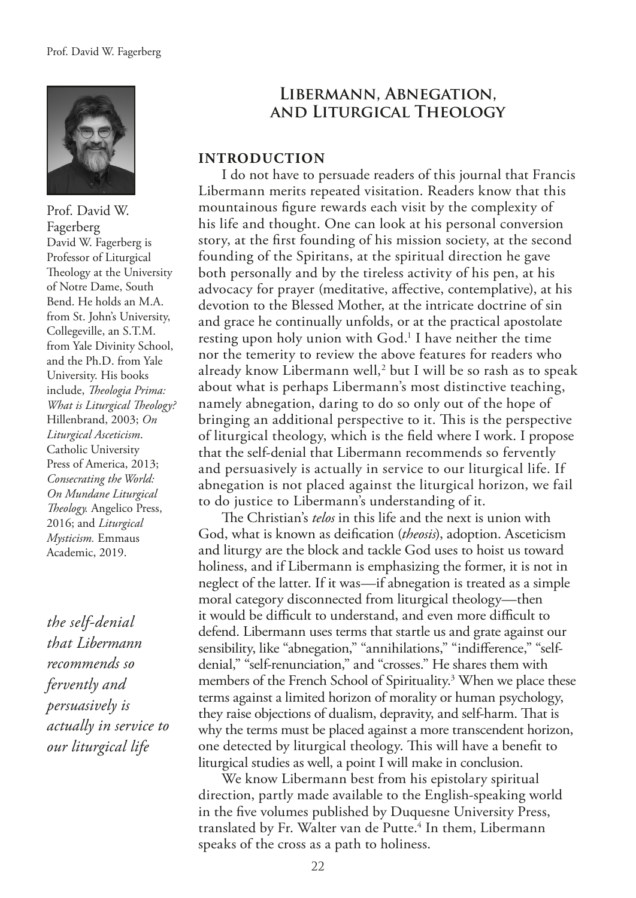

Prof. David W. Fagerberg David W. Fagerberg is Professor of Liturgical Theology at the University of Notre Dame, South Bend. He holds an M.A. from St. John's University, Collegeville, an S.T.M. from Yale Divinity School, and the Ph.D. from Yale University. His books include, *Teologia Prima: What is Liturgical Theology?* Hillenbrand, 2003; *On Liturgical Asceticism*. Catholic University Press of America, 2013; *Consecrating the World: On Mundane Liturgical Teology.* Angelico Press, 2016; and *Liturgical Mysticism.* Emmaus Academic, 2019.

*the self-denial that Libermann recommends so fervently and persuasively is actually in service to our liturgical life*

# **Libermann, Abnegation, and Liturgical Theology**

#### **INTRODUCTION**

I do not have to persuade readers of this journal that Francis Libermann merits repeated visitation. Readers know that this mountainous fgure rewards each visit by the complexity of his life and thought. One can look at his personal conversion story, at the frst founding of his mission society, at the second founding of the Spiritans, at the spiritual direction he gave both personally and by the tireless activity of his pen, at his advocacy for prayer (meditative, afective, contemplative), at his devotion to the Blessed Mother, at the intricate doctrine of sin and grace he continually unfolds, or at the practical apostolate resting upon holy union with God.<sup>1</sup> I have neither the time nor the temerity to review the above features for readers who already know Libermann well,<sup>2</sup> but I will be so rash as to speak about what is perhaps Libermann's most distinctive teaching, namely abnegation, daring to do so only out of the hope of bringing an additional perspective to it. This is the perspective of liturgical theology, which is the feld where I work. I propose that the self-denial that Libermann recommends so fervently and persuasively is actually in service to our liturgical life. If abnegation is not placed against the liturgical horizon, we fail to do justice to Libermann's understanding of it.

The Christian's *telos* in this life and the next is union with God, what is known as deifcation (*theosis*), adoption. Asceticism and liturgy are the block and tackle God uses to hoist us toward holiness, and if Libermann is emphasizing the former, it is not in neglect of the latter. If it was—if abnegation is treated as a simple moral category disconnected from liturgical theology—then it would be difficult to understand, and even more difficult to defend. Libermann uses terms that startle us and grate against our sensibility, like "abnegation," "annihilations," "indifference," "selfdenial," "self-renunciation," and "crosses." He shares them with members of the French School of Spirituality.3 When we place these terms against a limited horizon of morality or human psychology, they raise objections of dualism, depravity, and self-harm. That is why the terms must be placed against a more transcendent horizon, one detected by liturgical theology. This will have a benefit to liturgical studies as well, a point I will make in conclusion.

We know Libermann best from his epistolary spiritual direction, partly made available to the English-speaking world in the fve volumes published by Duquesne University Press, translated by Fr. Walter van de Putte.<sup>4</sup> In them, Libermann speaks of the cross as a path to holiness.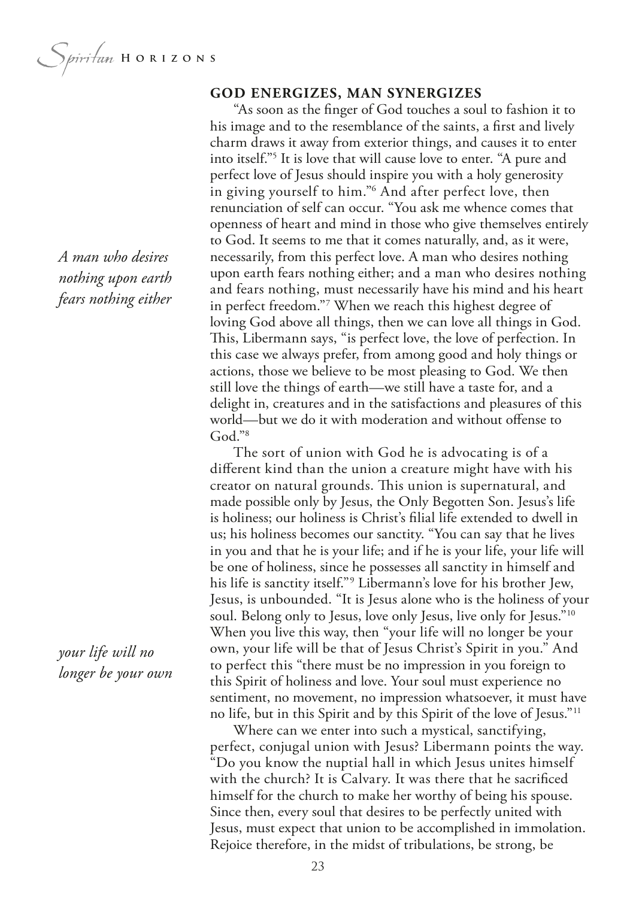Spiritan HORIZONS

## **GOD ENERGIZES, MAN SYNERGIZES**

"As soon as the fnger of God touches a soul to fashion it to his image and to the resemblance of the saints, a frst and lively charm draws it away from exterior things, and causes it to enter into itself."5 It is love that will cause love to enter. "A pure and perfect love of Jesus should inspire you with a holy generosity in giving yourself to him."6 And after perfect love, then renunciation of self can occur. "You ask me whence comes that openness of heart and mind in those who give themselves entirely to God. It seems to me that it comes naturally, and, as it were, necessarily, from this perfect love. A man who desires nothing upon earth fears nothing either; and a man who desires nothing and fears nothing, must necessarily have his mind and his heart in perfect freedom."7 When we reach this highest degree of loving God above all things, then we can love all things in God. This, Libermann says, "is perfect love, the love of perfection. In this case we always prefer, from among good and holy things or actions, those we believe to be most pleasing to God. We then still love the things of earth—we still have a taste for, and a delight in, creatures and in the satisfactions and pleasures of this world—but we do it with moderation and without ofense to God."<sup>8</sup>

The sort of union with God he is advocating is of a diferent kind than the union a creature might have with his creator on natural grounds. This union is supernatural, and made possible only by Jesus, the Only Begotten Son. Jesus's life is holiness; our holiness is Christ's flial life extended to dwell in us; his holiness becomes our sanctity. "You can say that he lives in you and that he is your life; and if he is your life, your life will be one of holiness, since he possesses all sanctity in himself and his life is sanctity itself."9 Libermann's love for his brother Jew, Jesus, is unbounded. "It is Jesus alone who is the holiness of your soul. Belong only to Jesus, love only Jesus, live only for Jesus."<sup>10</sup> When you live this way, then "your life will no longer be your own, your life will be that of Jesus Christ's Spirit in you." And to perfect this "there must be no impression in you foreign to this Spirit of holiness and love. Your soul must experience no sentiment, no movement, no impression whatsoever, it must have no life, but in this Spirit and by this Spirit of the love of Jesus."11

Where can we enter into such a mystical, sanctifying, perfect, conjugal union with Jesus? Libermann points the way. "Do you know the nuptial hall in which Jesus unites himself with the church? It is Calvary. It was there that he sacrifced himself for the church to make her worthy of being his spouse. Since then, every soul that desires to be perfectly united with Jesus, must expect that union to be accomplished in immolation. Rejoice therefore, in the midst of tribulations, be strong, be

*A man who desires nothing upon earth fears nothing either*

*your life will no longer be your own*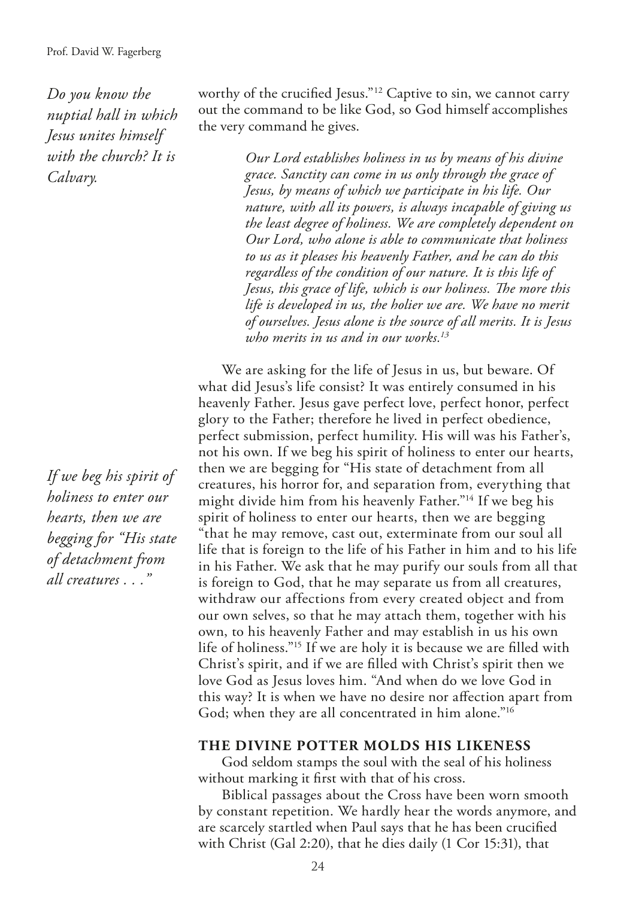*Do you know the nuptial hall in which Jesus unites himself with the church? It is Calvary.*

*If we beg his spirit of holiness to enter our hearts, then we are begging for "His state of detachment from all creatures . . ."*

worthy of the crucified Jesus."<sup>12</sup> Captive to sin, we cannot carry out the command to be like God, so God himself accomplishes the very command he gives.

> *Our Lord establishes holiness in us by means of his divine grace. Sanctity can come in us only through the grace of Jesus, by means of which we participate in his life. Our nature, with all its powers, is always incapable of giving us the least degree of holiness. We are completely dependent on Our Lord, who alone is able to communicate that holiness to us as it pleases his heavenly Father, and he can do this regardless of the condition of our nature. It is this life of*  Jesus, this grace of life, which is our holiness. The more this *life is developed in us, the holier we are. We have no merit of ourselves. Jesus alone is the source of all merits. It is Jesus who merits in us and in our works.13*

We are asking for the life of Jesus in us, but beware. Of what did Jesus's life consist? It was entirely consumed in his heavenly Father. Jesus gave perfect love, perfect honor, perfect glory to the Father; therefore he lived in perfect obedience, perfect submission, perfect humility. His will was his Father's, not his own. If we beg his spirit of holiness to enter our hearts, then we are begging for "His state of detachment from all creatures, his horror for, and separation from, everything that might divide him from his heavenly Father."14 If we beg his spirit of holiness to enter our hearts, then we are begging "that he may remove, cast out, exterminate from our soul all life that is foreign to the life of his Father in him and to his life in his Father. We ask that he may purify our souls from all that is foreign to God, that he may separate us from all creatures, withdraw our affections from every created object and from our own selves, so that he may attach them, together with his own, to his heavenly Father and may establish in us his own life of holiness."15 If we are holy it is because we are flled with Christ's spirit, and if we are flled with Christ's spirit then we love God as Jesus loves him. "And when do we love God in this way? It is when we have no desire nor afection apart from God; when they are all concentrated in him alone."<sup>16</sup>

#### **THE DIVINE POTTER MOLDS HIS LIKENESS**

God seldom stamps the soul with the seal of his holiness without marking it frst with that of his cross.

Biblical passages about the Cross have been worn smooth by constant repetition. We hardly hear the words anymore, and are scarcely startled when Paul says that he has been crucifed with Christ (Gal 2:20), that he dies daily (1 Cor 15:31), that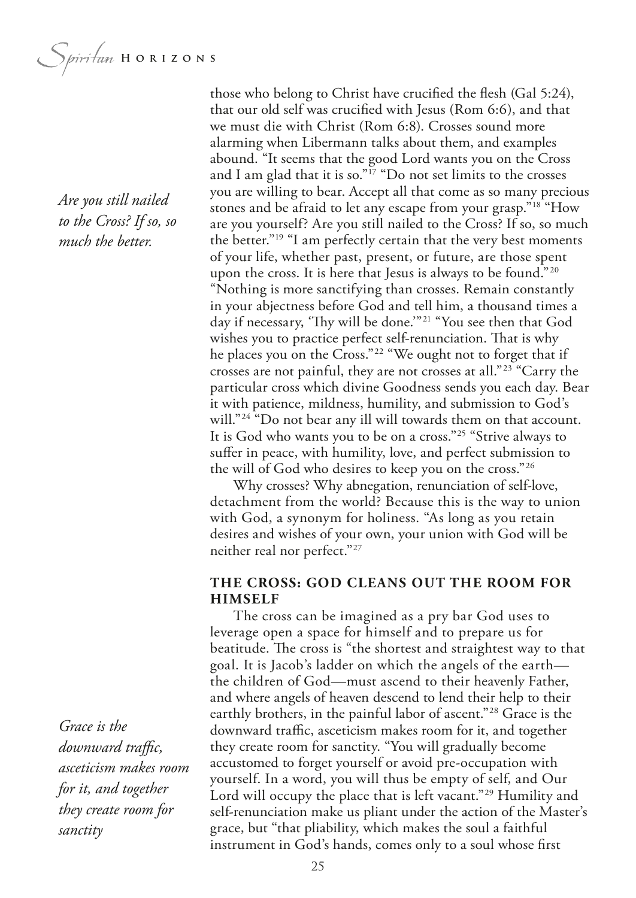Spiritum HORIZONS

*Are you still nailed to the Cross? If so, so much the better.*

those who belong to Christ have crucifed the fesh (Gal 5:24), that our old self was crucifed with Jesus (Rom 6:6), and that we must die with Christ (Rom 6:8). Crosses sound more alarming when Libermann talks about them, and examples abound. "It seems that the good Lord wants you on the Cross and I am glad that it is so." $17$  "Do not set limits to the crosses you are willing to bear. Accept all that come as so many precious stones and be afraid to let any escape from your grasp."18 "How are you yourself? Are you still nailed to the Cross? If so, so much the better."19 "I am perfectly certain that the very best moments of your life, whether past, present, or future, are those spent upon the cross. It is here that Jesus is always to be found."20 "Nothing is more sanctifying than crosses. Remain constantly in your abjectness before God and tell him, a thousand times a day if necessary, 'Thy will be done.'"<sup>21</sup> "You see then that God wishes you to practice perfect self-renunciation. That is why he places you on the Cross."22 "We ought not to forget that if crosses are not painful, they are not crosses at all."23 "Carry the particular cross which divine Goodness sends you each day. Bear it with patience, mildness, humility, and submission to God's will."<sup>24</sup> "Do not bear any ill will towards them on that account. It is God who wants you to be on a cross."25 "Strive always to sufer in peace, with humility, love, and perfect submission to the will of God who desires to keep you on the cross."26

Why crosses? Why abnegation, renunciation of self-love, detachment from the world? Because this is the way to union with God, a synonym for holiness. "As long as you retain desires and wishes of your own, your union with God will be neither real nor perfect."27

## **THE CROSS: GOD CLEANS OUT THE ROOM FOR HIMSELF**

The cross can be imagined as a pry bar God uses to leverage open a space for himself and to prepare us for beatitude. The cross is "the shortest and straightest way to that goal. It is Jacob's ladder on which the angels of the earth the children of God—must ascend to their heavenly Father, and where angels of heaven descend to lend their help to their earthly brothers, in the painful labor of ascent."28 Grace is the downward traffic, asceticism makes room for it, and together they create room for sanctity. "You will gradually become accustomed to forget yourself or avoid pre-occupation with yourself. In a word, you will thus be empty of self, and Our Lord will occupy the place that is left vacant."<sup>29</sup> Humility and self-renunciation make us pliant under the action of the Master's grace, but "that pliability, which makes the soul a faithful instrument in God's hands, comes only to a soul whose frst

*Grace is the*  downward traffic, *asceticism makes room for it, and together they create room for sanctity*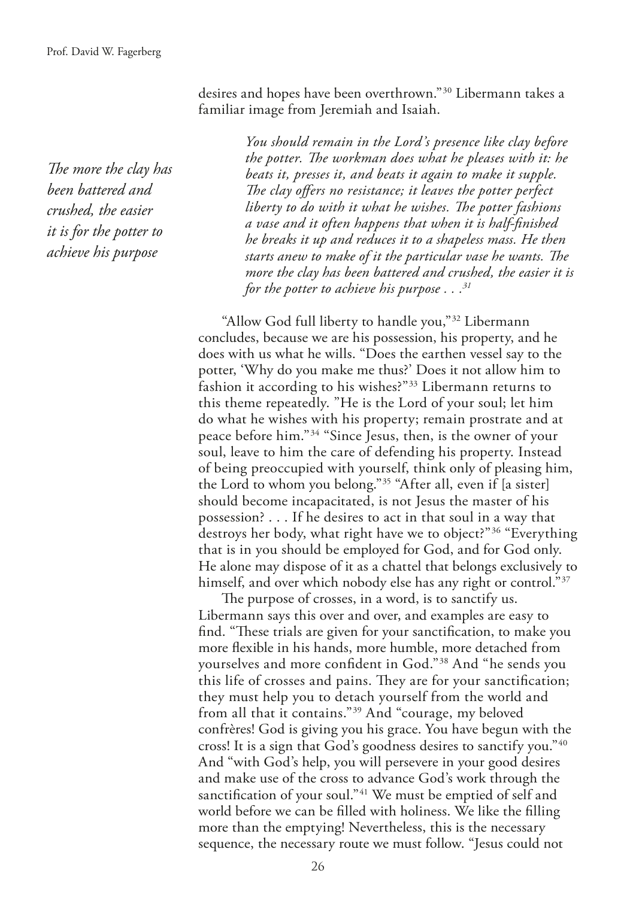The more the clay has *been battered and crushed, the easier it is for the potter to achieve his purpose*

desires and hopes have been overthrown."30 Libermann takes a familiar image from Jeremiah and Isaiah.

> *You should remain in the Lord's presence like clay before the potter. Te workman does what he pleases with it: he beats it, presses it, and beats it again to make it supple.*  The clay offers no resistance; it leaves the potter perfect liberty to do with it what he wishes. The potter fashions *a vase and it often happens that when it is half-fnished he breaks it up and reduces it to a shapeless mass. He then starts anew to make of it the particular vase he wants. The more the clay has been battered and crushed, the easier it is for the potter to achieve his purpose . . .31*

"Allow God full liberty to handle you,"32 Libermann concludes, because we are his possession, his property, and he does with us what he wills. "Does the earthen vessel say to the potter, 'Why do you make me thus?' Does it not allow him to fashion it according to his wishes?"<sup>33</sup> Libermann returns to this theme repeatedly. "He is the Lord of your soul; let him do what he wishes with his property; remain prostrate and at peace before him."34 "Since Jesus, then, is the owner of your soul, leave to him the care of defending his property. Instead of being preoccupied with yourself, think only of pleasing him, the Lord to whom you belong."35 "After all, even if [a sister] should become incapacitated, is not Jesus the master of his possession? . . . If he desires to act in that soul in a way that destroys her body, what right have we to object?"36 "Everything that is in you should be employed for God, and for God only. He alone may dispose of it as a chattel that belongs exclusively to himself, and over which nobody else has any right or control."<sup>37</sup>

The purpose of crosses, in a word, is to sanctify us. Libermann says this over and over, and examples are easy to find. "These trials are given for your sanctification, to make you more fexible in his hands, more humble, more detached from yourselves and more confdent in God."38 And "he sends you this life of crosses and pains. They are for your sanctification; they must help you to detach yourself from the world and from all that it contains."39 And "courage, my beloved confrères! God is giving you his grace. You have begun with the cross! It is a sign that God's goodness desires to sanctify you."40 And "with God's help, you will persevere in your good desires and make use of the cross to advance God's work through the sanctification of your soul."<sup>41</sup> We must be emptied of self and world before we can be flled with holiness. We like the flling more than the emptying! Nevertheless, this is the necessary sequence, the necessary route we must follow. "Jesus could not

26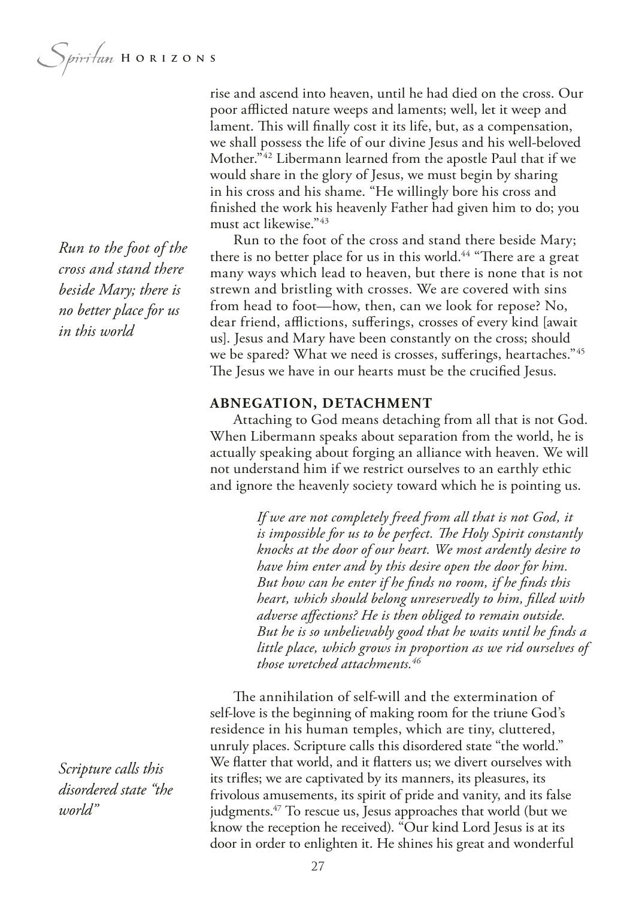*Run to the foot of the cross and stand there beside Mary; there is no better place for us in this world*

poor afflicted nature weeps and laments; well, let it weep and lament. This will finally cost it its life, but, as a compensation, we shall possess the life of our divine Jesus and his well-beloved Mother."42 Libermann learned from the apostle Paul that if we would share in the glory of Jesus, we must begin by sharing in his cross and his shame. "He willingly bore his cross and fnished the work his heavenly Father had given him to do; you

rise and ascend into heaven, until he had died on the cross. Our

Run to the foot of the cross and stand there beside Mary; there is no better place for us in this world.<sup>44</sup> "There are a great many ways which lead to heaven, but there is none that is not strewn and bristling with crosses. We are covered with sins from head to foot—how, then, can we look for repose? No, dear friend, afflictions, sufferings, crosses of every kind [await us]. Jesus and Mary have been constantly on the cross; should we be spared? What we need is crosses, sufferings, heartaches."45 The Jesus we have in our hearts must be the crucified Jesus.

### **ABNEGATION, DETACHMENT**

must act likewise."43

Attaching to God means detaching from all that is not God. When Libermann speaks about separation from the world, he is actually speaking about forging an alliance with heaven. We will not understand him if we restrict ourselves to an earthly ethic and ignore the heavenly society toward which he is pointing us.

> *If we are not completely freed from all that is not God, it is impossible for us to be perfect. The Holy Spirit constantly knocks at the door of our heart. We most ardently desire to have him enter and by this desire open the door for him. But how can he enter if he fnds no room, if he fnds this heart, which should belong unreservedly to him, flled with adverse afections? He is then obliged to remain outside. But he is so unbelievably good that he waits until he fnds a little place, which grows in proportion as we rid ourselves of those wretched attachments.46*

The annihilation of self-will and the extermination of self-love is the beginning of making room for the triune God's residence in his human temples, which are tiny, cluttered, unruly places. Scripture calls this disordered state "the world." We fatter that world, and it fatters us; we divert ourselves with its trifes; we are captivated by its manners, its pleasures, its frivolous amusements, its spirit of pride and vanity, and its false judgments.<sup>47</sup> To rescue us, Jesus approaches that world (but we know the reception he received). "Our kind Lord Jesus is at its door in order to enlighten it. He shines his great and wonderful

*Scripture calls this disordered state "the world"*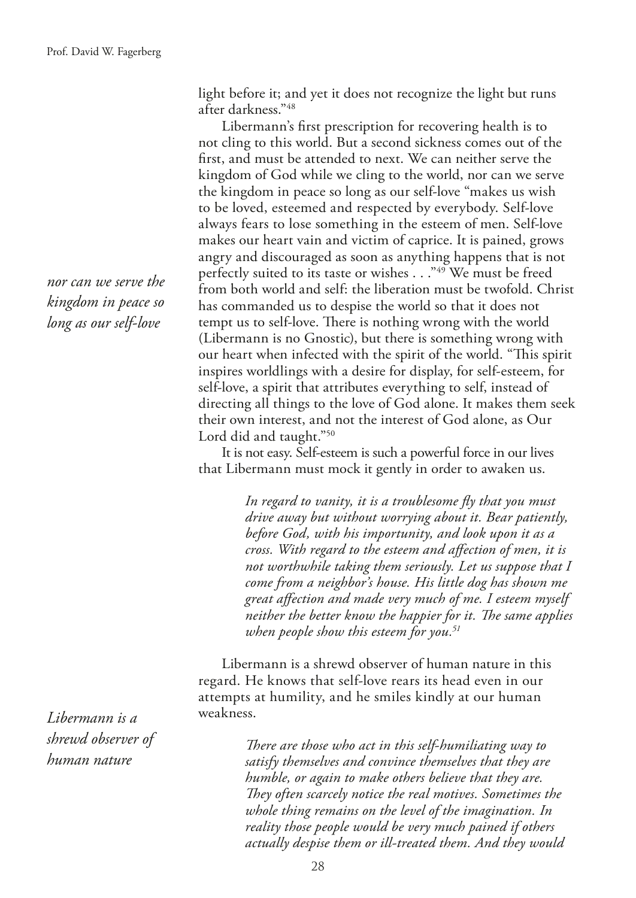light before it; and yet it does not recognize the light but runs after darkness."48

Libermann's frst prescription for recovering health is to not cling to this world. But a second sickness comes out of the frst, and must be attended to next. We can neither serve the kingdom of God while we cling to the world, nor can we serve the kingdom in peace so long as our self-love "makes us wish to be loved, esteemed and respected by everybody. Self-love always fears to lose something in the esteem of men. Self-love makes our heart vain and victim of caprice. It is pained, grows angry and discouraged as soon as anything happens that is not perfectly suited to its taste or wishes . . . "49 We must be freed from both world and self: the liberation must be twofold. Christ has commanded us to despise the world so that it does not tempt us to self-love. There is nothing wrong with the world (Libermann is no Gnostic), but there is something wrong with our heart when infected with the spirit of the world. "This spirit inspires worldlings with a desire for display, for self-esteem, for self-love, a spirit that attributes everything to self, instead of directing all things to the love of God alone. It makes them seek their own interest, and not the interest of God alone, as Our Lord did and taught."50

It is not easy. Self-esteem is such a powerful force in our lives that Libermann must mock it gently in order to awaken us.

> *In regard to vanity, it is a troublesome fy that you must drive away but without worrying about it. Bear patiently, before God, with his importunity, and look upon it as a cross. With regard to the esteem and afection of men, it is not worthwhile taking them seriously. Let us suppose that I come from a neighbor's house. His little dog has shown me great afection and made very much of me. I esteem myself neither the better know the happier for it. The same applies when people show this esteem for you.51*

Libermann is a shrewd observer of human nature in this regard. He knows that self-love rears its head even in our attempts at humility, and he smiles kindly at our human weakness.

> *There are those who act in this self-humiliating way to satisfy themselves and convince themselves that they are humble, or again to make others believe that they are. They often scarcely notice the real motives. Sometimes the whole thing remains on the level of the imagination. In reality those people would be very much pained if others actually despise them or ill-treated them. And they would*

*nor can we serve the kingdom in peace so long as our self-love*

*Libermann is a shrewd observer of human nature*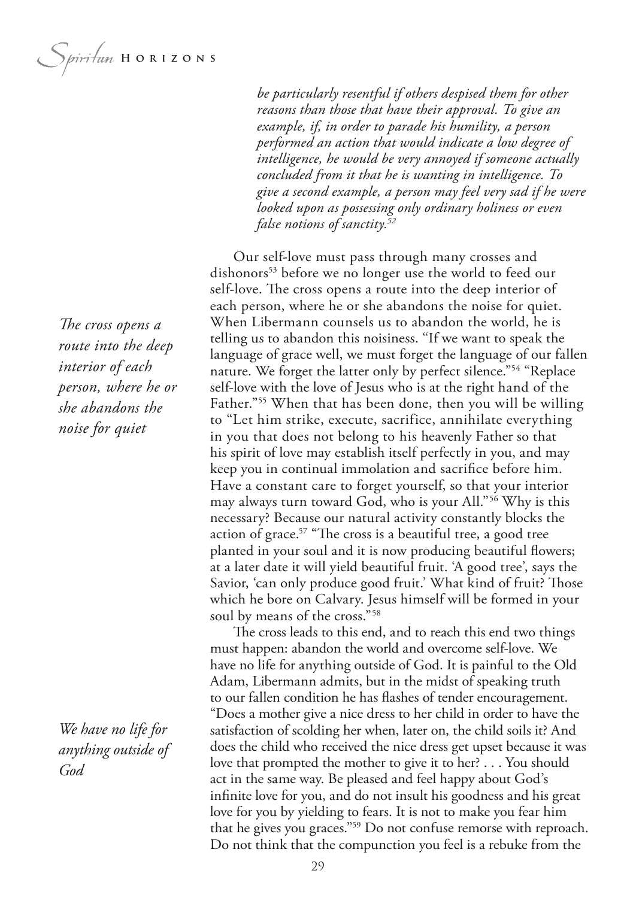Spiritan HORIZONS

*be particularly resentful if others despised them for other reasons than those that have their approval. To give an example, if, in order to parade his humility, a person performed an action that would indicate a low degree of intelligence, he would be very annoyed if someone actually concluded from it that he is wanting in intelligence. To give a second example, a person may feel very sad if he were looked upon as possessing only ordinary holiness or even false notions of sanctity.52*

Our self-love must pass through many crosses and dishonors<sup>53</sup> before we no longer use the world to feed our self-love. The cross opens a route into the deep interior of each person, where he or she abandons the noise for quiet. When Libermann counsels us to abandon the world, he is telling us to abandon this noisiness. "If we want to speak the language of grace well, we must forget the language of our fallen nature. We forget the latter only by perfect silence."54 "Replace self-love with the love of Jesus who is at the right hand of the Father."<sup>55</sup> When that has been done, then you will be willing to "Let him strike, execute, sacrifice, annihilate everything in you that does not belong to his heavenly Father so that his spirit of love may establish itself perfectly in you, and may keep you in continual immolation and sacrifce before him. Have a constant care to forget yourself, so that your interior may always turn toward God, who is your All."56 Why is this necessary? Because our natural activity constantly blocks the action of grace. $57$  "The cross is a beautiful tree, a good tree planted in your soul and it is now producing beautiful fowers; at a later date it will yield beautiful fruit. 'A good tree', says the Savior, 'can only produce good fruit.' What kind of fruit? Those which he bore on Calvary. Jesus himself will be formed in your soul by means of the cross."58

The cross leads to this end, and to reach this end two things must happen: abandon the world and overcome self-love. We have no life for anything outside of God. It is painful to the Old Adam, Libermann admits, but in the midst of speaking truth to our fallen condition he has fashes of tender encouragement. "Does a mother give a nice dress to her child in order to have the satisfaction of scolding her when, later on, the child soils it? And does the child who received the nice dress get upset because it was love that prompted the mother to give it to her? . . . You should act in the same way. Be pleased and feel happy about God's infnite love for you, and do not insult his goodness and his great love for you by yielding to fears. It is not to make you fear him that he gives you graces."59 Do not confuse remorse with reproach. Do not think that the compunction you feel is a rebuke from the

*The cross opens a route into the deep interior of each person, where he or she abandons the noise for quiet*

*We have no life for anything outside of God*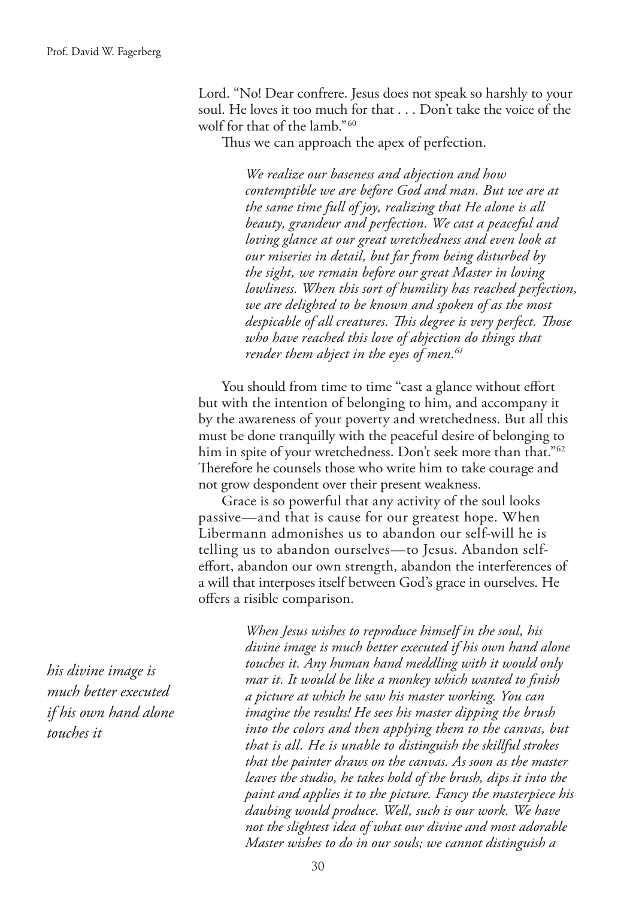Lord. "No! Dear confrere. Jesus does not speak so harshly to your soul. He loves it too much for that . . . Don't take the voice of the wolf for that of the lamb."60

Thus we can approach the apex of perfection.

*We realize our baseness and abjection and how contemptible we are before God and man. But we are at the same time full of joy, realizing that He alone is all beauty, grandeur and perfection. We cast a peaceful and loving glance at our great wretchedness and even look at our miseries in detail, but far from being disturbed by the sight, we remain before our great Master in loving lowliness. When this sort of humility has reached perfection, we are delighted to be known and spoken of as the most despicable of all creatures. Tis degree is very perfect. Tose who have reached this love of abjection do things that render them abject in the eyes of men.61*

You should from time to time "cast a glance without effort but with the intention of belonging to him, and accompany it by the awareness of your poverty and wretchedness. But all this must be done tranquilly with the peaceful desire of belonging to him in spite of your wretchedness. Don't seek more than that."<sup>62</sup> Therefore he counsels those who write him to take courage and not grow despondent over their present weakness.

Grace is so powerful that any activity of the soul looks passive—and that is cause for our greatest hope. When Libermann admonishes us to abandon our self-will he is telling us to abandon ourselves—to Jesus. Abandon selfefort, abandon our own strength, abandon the interferences of a will that interposes itself between God's grace in ourselves. He ofers a risible comparison.

*his divine image is much better executed if his own hand alone touches it*

*When Jesus wishes to reproduce himself in the soul, his divine image is much better executed if his own hand alone touches it. Any human hand meddling with it would only mar it. It would be like a monkey which wanted to fnish a picture at which he saw his master working. You can imagine the results! He sees his master dipping the brush into the colors and then applying them to the canvas, but that is all. He is unable to distinguish the skillful strokes that the painter draws on the canvas. As soon as the master leaves the studio, he takes hold of the brush, dips it into the paint and applies it to the picture. Fancy the masterpiece his daubing would produce. Well, such is our work. We have not the slightest idea of what our divine and most adorable Master wishes to do in our souls; we cannot distinguish a*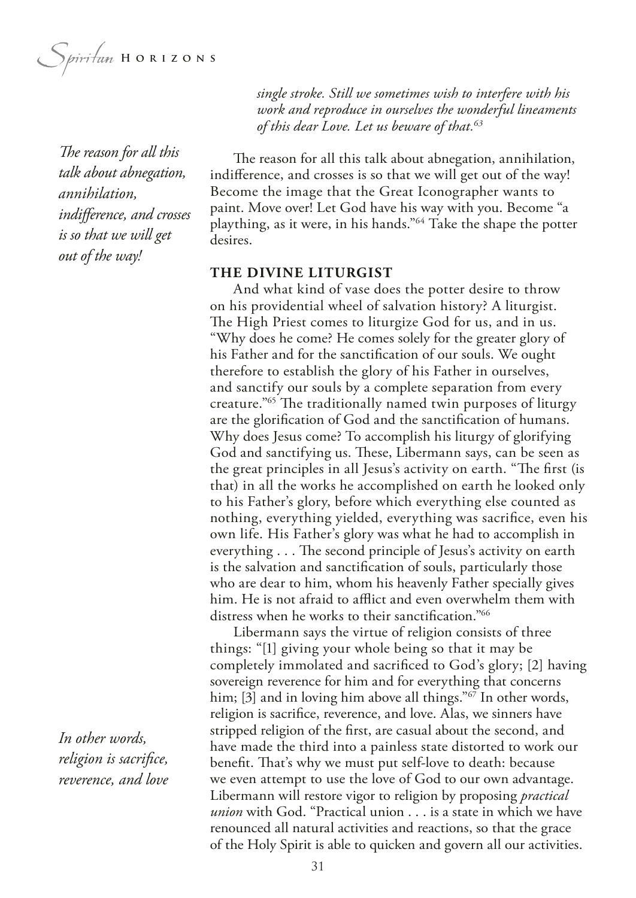Spiritum HORIZONS

*The reason for all this talk about abnegation, annihilation, indiference, and crosses is so that we will get out of the way!* 

*single stroke. Still we sometimes wish to interfere with his work and reproduce in ourselves the wonderful lineaments of this dear Love. Let us beware of that.63*

The reason for all this talk about abnegation, annihilation, indiference, and crosses is so that we will get out of the way! Become the image that the Great Iconographer wants to paint. Move over! Let God have his way with you. Become "a plaything, as it were, in his hands."64 Take the shape the potter desires.

#### **THE DIVINE LITURGIST**

And what kind of vase does the potter desire to throw on his providential wheel of salvation history? A liturgist. The High Priest comes to liturgize God for us, and in us. "Why does he come? He comes solely for the greater glory of his Father and for the sanctifcation of our souls. We ought therefore to establish the glory of his Father in ourselves, and sanctify our souls by a complete separation from every creature.<sup>"65</sup> The traditionally named twin purposes of liturgy are the glorifcation of God and the sanctifcation of humans. Why does Jesus come? To accomplish his liturgy of glorifying God and sanctifying us. These, Libermann says, can be seen as the great principles in all Jesus's activity on earth. "The first (is that) in all the works he accomplished on earth he looked only to his Father's glory, before which everything else counted as nothing, everything yielded, everything was sacrifce, even his own life. His Father's glory was what he had to accomplish in everything . . . The second principle of Jesus's activity on earth is the salvation and sanctifcation of souls, particularly those who are dear to him, whom his heavenly Father specially gives him. He is not afraid to afflict and even overwhelm them with distress when he works to their sanctifcation."66

Libermann says the virtue of religion consists of three things: "[1] giving your whole being so that it may be completely immolated and sacrifced to God's glory; [2] having sovereign reverence for him and for everything that concerns him; [3] and in loving him above all things."<sup>67</sup> In other words, religion is sacrifce, reverence, and love. Alas, we sinners have stripped religion of the frst, are casual about the second, and have made the third into a painless state distorted to work our beneft. Tat's why we must put self-love to death: because we even attempt to use the love of God to our own advantage. Libermann will restore vigor to religion by proposing *practical union* with God. "Practical union . . . is a state in which we have renounced all natural activities and reactions, so that the grace of the Holy Spirit is able to quicken and govern all our activities.

*In other words, religion is sacrifce, reverence, and love*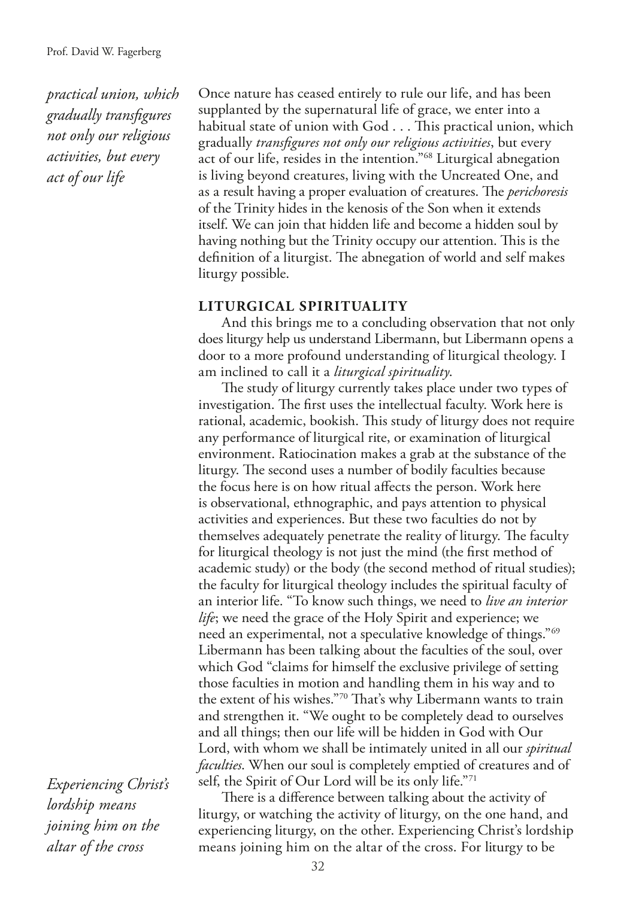*practical union, which gradually transfgures not only our religious activities, but every act of our life*

Once nature has ceased entirely to rule our life, and has been supplanted by the supernatural life of grace, we enter into a habitual state of union with God . . . This practical union, which gradually *transfgures not only our religious activities*, but every act of our life, resides in the intention."68 Liturgical abnegation is living beyond creatures, living with the Uncreated One, and as a result having a proper evaluation of creatures. The *perichoresis* of the Trinity hides in the kenosis of the Son when it extends itself. We can join that hidden life and become a hidden soul by having nothing but the Trinity occupy our attention. This is the definition of a liturgist. The abnegation of world and self makes liturgy possible.

## **LITURGICAL SPIRITUALITY**

And this brings me to a concluding observation that not only does liturgy help us understand Libermann, but Libermann opens a door to a more profound understanding of liturgical theology. I am inclined to call it a *liturgical spirituality*.

The study of liturgy currently takes place under two types of investigation. The first uses the intellectual faculty. Work here is rational, academic, bookish. This study of liturgy does not require any performance of liturgical rite, or examination of liturgical environment. Ratiocination makes a grab at the substance of the liturgy. The second uses a number of bodily faculties because the focus here is on how ritual afects the person. Work here is observational, ethnographic, and pays attention to physical activities and experiences. But these two faculties do not by themselves adequately penetrate the reality of liturgy. The faculty for liturgical theology is not just the mind (the frst method of academic study) or the body (the second method of ritual studies); the faculty for liturgical theology includes the spiritual faculty of an interior life. "To know such things, we need to *live an interior life*; we need the grace of the Holy Spirit and experience; we need an experimental, not a speculative knowledge of things."69 Libermann has been talking about the faculties of the soul, over which God "claims for himself the exclusive privilege of setting those faculties in motion and handling them in his way and to the extent of his wishes."70 That's why Libermann wants to train and strengthen it. "We ought to be completely dead to ourselves and all things; then our life will be hidden in God with Our Lord, with whom we shall be intimately united in all our *spiritual faculties*. When our soul is completely emptied of creatures and of self, the Spirit of Our Lord will be its only life."71

*Experiencing Christ's lordship means joining him on the altar of the cross*

There is a difference between talking about the activity of liturgy, or watching the activity of liturgy, on the one hand, and experiencing liturgy, on the other. Experiencing Christ's lordship means joining him on the altar of the cross. For liturgy to be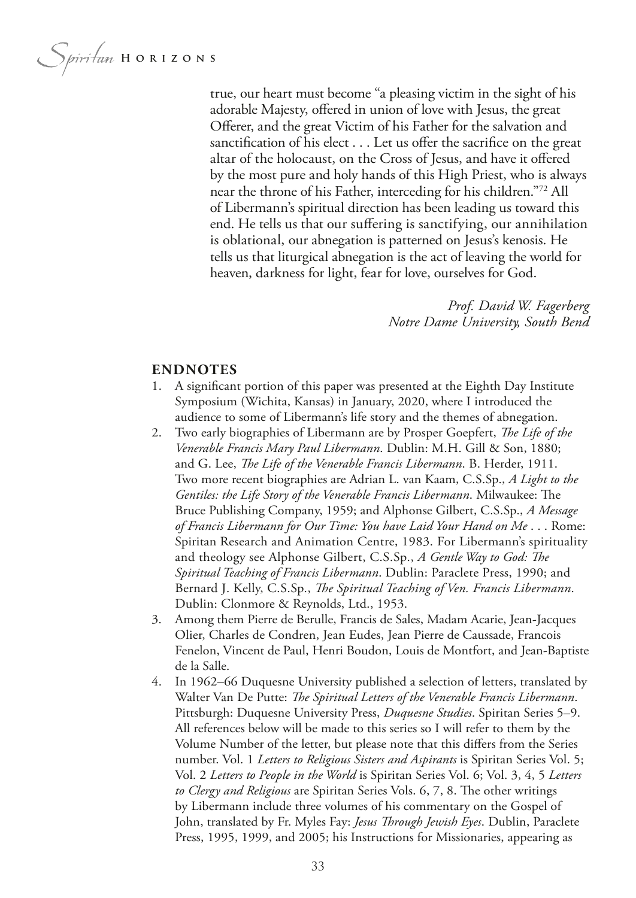Spiritan HORIZONS

true, our heart must become "a pleasing victim in the sight of his adorable Majesty, ofered in union of love with Jesus, the great Offerer, and the great Victim of his Father for the salvation and sanctification of his elect . . . Let us offer the sacrifice on the great altar of the holocaust, on the Cross of Jesus, and have it ofered by the most pure and holy hands of this High Priest, who is always near the throne of his Father, interceding for his children."72 All of Libermann's spiritual direction has been leading us toward this end. He tells us that our sufering is sanctifying, our annihilation is oblational, our abnegation is patterned on Jesus's kenosis. He tells us that liturgical abnegation is the act of leaving the world for heaven, darkness for light, fear for love, ourselves for God.

> *Prof. David W. Fagerberg Notre Dame University, South Bend*

#### **ENDNOTES**

- 1. A signifcant portion of this paper was presented at the Eighth Day Institute Symposium (Wichita, Kansas) in January, 2020, where I introduced the audience to some of Libermann's life story and the themes of abnegation.
- 2. Two early biographies of Libermann are by Prosper Goepfert, *Te Life of the Venerable Francis Mary Paul Libermann*. Dublin: M.H. Gill & Son, 1880; and G. Lee, *The Life of the Venerable Francis Libermann*. B. Herder, 1911. Two more recent biographies are Adrian L. van Kaam, C.S.Sp., *A Light to the Gentiles: the Life Story of the Venerable Francis Libermann.* Milwaukee: The Bruce Publishing Company, 1959; and Alphonse Gilbert, C.S.Sp., *A Message of Francis Libermann for Our Time: You have Laid Your Hand on Me* . . . Rome: Spiritan Research and Animation Centre, 1983. For Libermann's spirituality and theology see Alphonse Gilbert, C.S.Sp., *A Gentle Way to God: Te Spiritual Teaching of Francis Libermann*. Dublin: Paraclete Press, 1990; and Bernard J. Kelly, C.S.Sp., *Te Spiritual Teaching of Ven. Francis Libermann*. Dublin: Clonmore & Reynolds, Ltd., 1953.
- 3. Among them Pierre de Berulle, Francis de Sales, Madam Acarie, Jean-Jacques Olier, Charles de Condren, Jean Eudes, Jean Pierre de Caussade, Francois Fenelon, Vincent de Paul, Henri Boudon, Louis de Montfort, and Jean-Baptiste de la Salle.
- 4. In 1962–66 Duquesne University published a selection of letters, translated by Walter Van De Putte: *The Spiritual Letters of the Venerable Francis Libermann*. Pittsburgh: Duquesne University Press, *Duquesne Studies*. Spiritan Series 5–9. All references below will be made to this series so I will refer to them by the Volume Number of the letter, but please note that this difers from the Series number. Vol. 1 *Letters to Religious Sisters and Aspirants* is Spiritan Series Vol. 5; Vol. 2 *Letters to People in the World* is Spiritan Series Vol. 6; Vol. 3, 4, 5 *Letters to Clergy and Religious* are Spiritan Series Vols. 6, 7, 8. The other writings by Libermann include three volumes of his commentary on the Gospel of John, translated by Fr. Myles Fay: *Jesus Through Jewish Eyes*. Dublin, Paraclete Press, 1995, 1999, and 2005; his Instructions for Missionaries, appearing as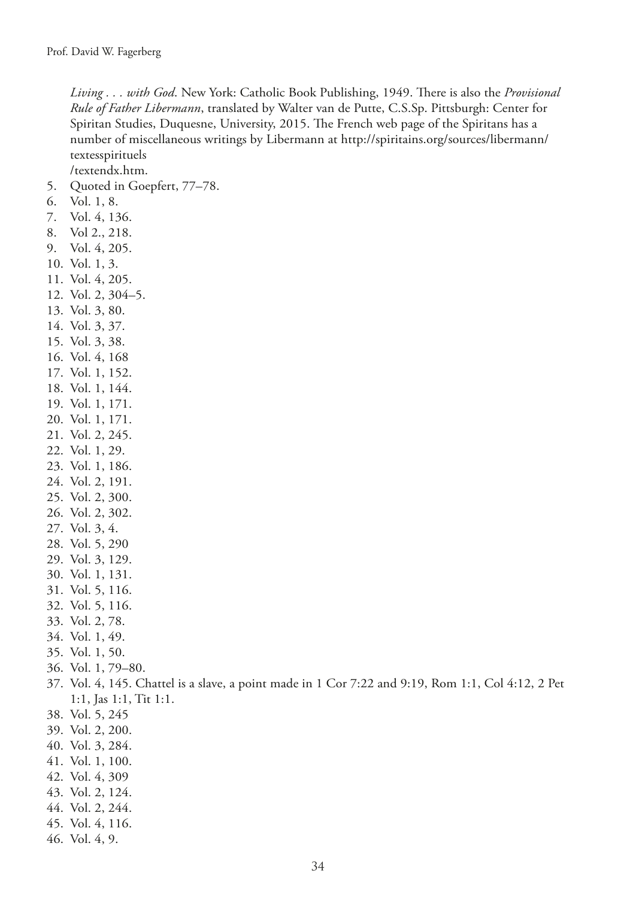Living . . . with God. New York: Catholic Book Publishing, 1949. There is also the *Provisional Rule of Father Libermann*, translated by Walter van de Putte, C.S.Sp. Pittsburgh: Center for Spiritan Studies, Duquesne, University, 2015. The French web page of the Spiritans has a number of miscellaneous writings by Libermann at http://spiritains.org/sources/libermann/ textesspirituels

/textendx.htm.

- 5. Quoted in Goepfert, 77–78.
- 6. Vol. 1, 8.
- 7. Vol. 4, 136.
- 8. Vol 2., 218.
- 9. Vol. 4, 205.
- 10. Vol. 1, 3.
- 11. Vol. 4, 205.
- 12. Vol. 2, 304–5.
- 13. Vol. 3, 80.
- 14. Vol. 3, 37.
- 15. Vol. 3, 38.
- 16. Vol. 4, 168
- 17. Vol. 1, 152.
- 18. Vol. 1, 144.
- 19. Vol. 1, 171.
- 20. Vol. 1, 171.
- 21. Vol. 2, 245.
- 22. Vol. 1, 29.
- 23. Vol. 1, 186.
- 24. Vol. 2, 191.
- 25. Vol. 2, 300.
- 26. Vol. 2, 302.
- 27. Vol. 3, 4.
- 28. Vol. 5, 290
- 29. Vol. 3, 129.
- 30. Vol. 1, 131.
- 31. Vol. 5, 116.
- 32. Vol. 5, 116.
- 33. Vol. 2, 78.
- 34. Vol. 1, 49.
- 35. Vol. 1, 50.
- 36. Vol. 1, 79–80.
- 37. Vol. 4, 145. Chattel is a slave, a point made in 1 Cor 7:22 and 9:19, Rom 1:1, Col 4:12, 2 Pet 1:1, Jas 1:1, Tit 1:1.
- 38. Vol. 5, 245
- 39. Vol. 2, 200.
- 40. Vol. 3, 284.
- 41. Vol. 1, 100.
- 42. Vol. 4, 309
- 43. Vol. 2, 124.
- 44. Vol. 2, 244.
- 45. Vol. 4, 116.
- 46. Vol. 4, 9.